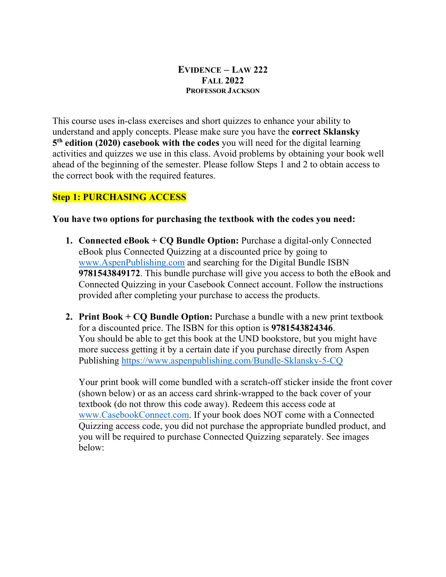#### **EVIDENCE – LAW 222 FALL 2022 PROFESSOR JACKSON**

This course uses in-class exercises and short quizzes to enhance your ability to understand and apply concepts. Please make sure you have the **correct Sklansky 5th edition (2020) casebook with the codes** you will need for the digital learning activities and quizzes we use in this class. Avoid problems by obtaining your book well ahead of the beginning of the semester. Please follow Steps 1 and 2 to obtain access to the correct book with the required features.

# **Step 1: PURCHASING ACCESS**

#### **You have two options for purchasing the textbook with the codes you need:**

- **1. Connected eBook + CQ Bundle Option:** Purchase a digital-only Connected eBook plus Connected Quizzing at a discounted price by going to www.AspenPublishing.com and searching for the Digital Bundle ISBN **9781543849172**. This bundle purchase will give you access to both the eBook and Connected Quizzing in your Casebook Connect account. Follow the instructions provided after completing your purchase to access the products.
- **2. Print Book + CQ Bundle Option:** Purchase a bundle with a new print textbook for a discounted price. The ISBN for this option is **9781543824346**. You should be able to get this book at the UND bookstore, but you might have more success getting it by a certain date if you purchase directly from Aspen Publishing https://www.aspenpublishing.com/Bundle-Sklansky-5-CQ

Your print book will come bundled with a scratch-off sticker inside the front cover (shown below) or as an access card shrink-wrapped to the back cover of your textbook (do not throw this code away). Redeem this access code at www.CasebookConnect.com. If your book does NOT come with a Connected Quizzing access code, you did not purchase the appropriate bundled product, and you will be required to purchase Connected Quizzing separately. See images below: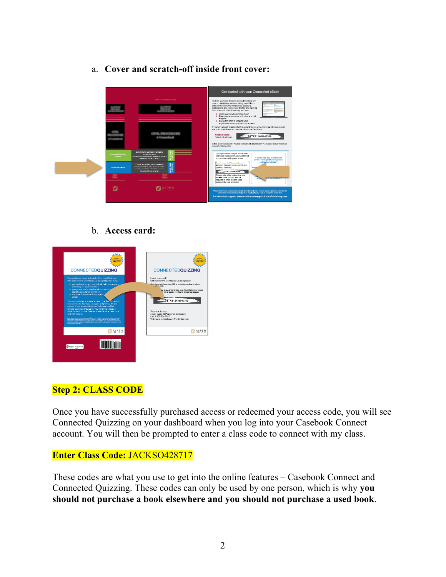- Get started with your Connected eBook SETRT12459 Ľ **ILE ASPEN**
- a. **Cover and scratch-off inside front cover:**

### b. **Access card:**



### **Step 2: CLASS CODE**

Once you have successfully purchased access or redeemed your access code, you will see Connected Quizzing on your dashboard when you log into your Casebook Connect account. You will then be prompted to enter a class code to connect with my class.

### **Enter Class Code:** JACKSO428717

These codes are what you use to get into the online features – Casebook Connect and Connected Quizzing. These codes can only be used by one person, which is why **you should not purchase a book elsewhere and you should not purchase a used book**.